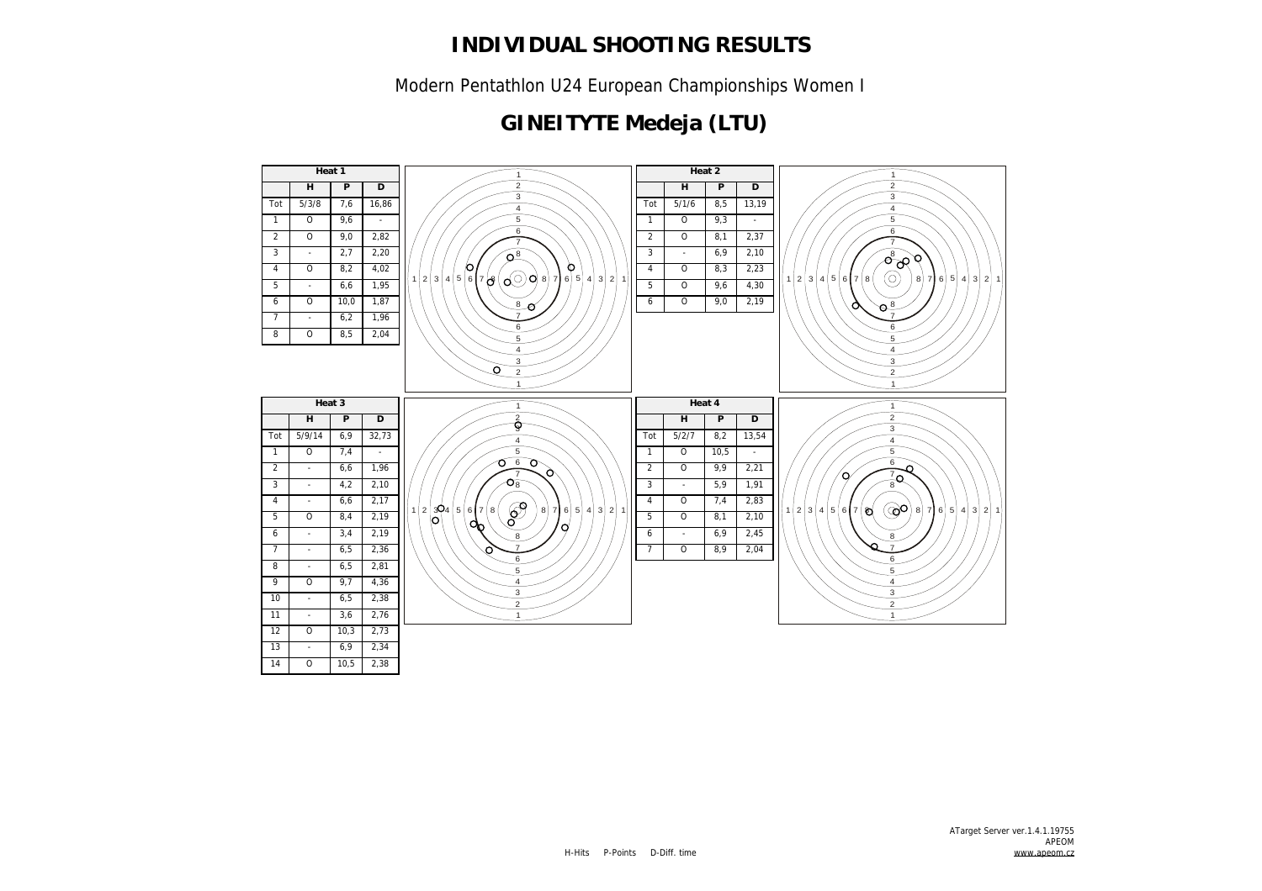Modern Pentathlon U24 European Championships Women I

# **GINEITYTE Medeja (LTU)**

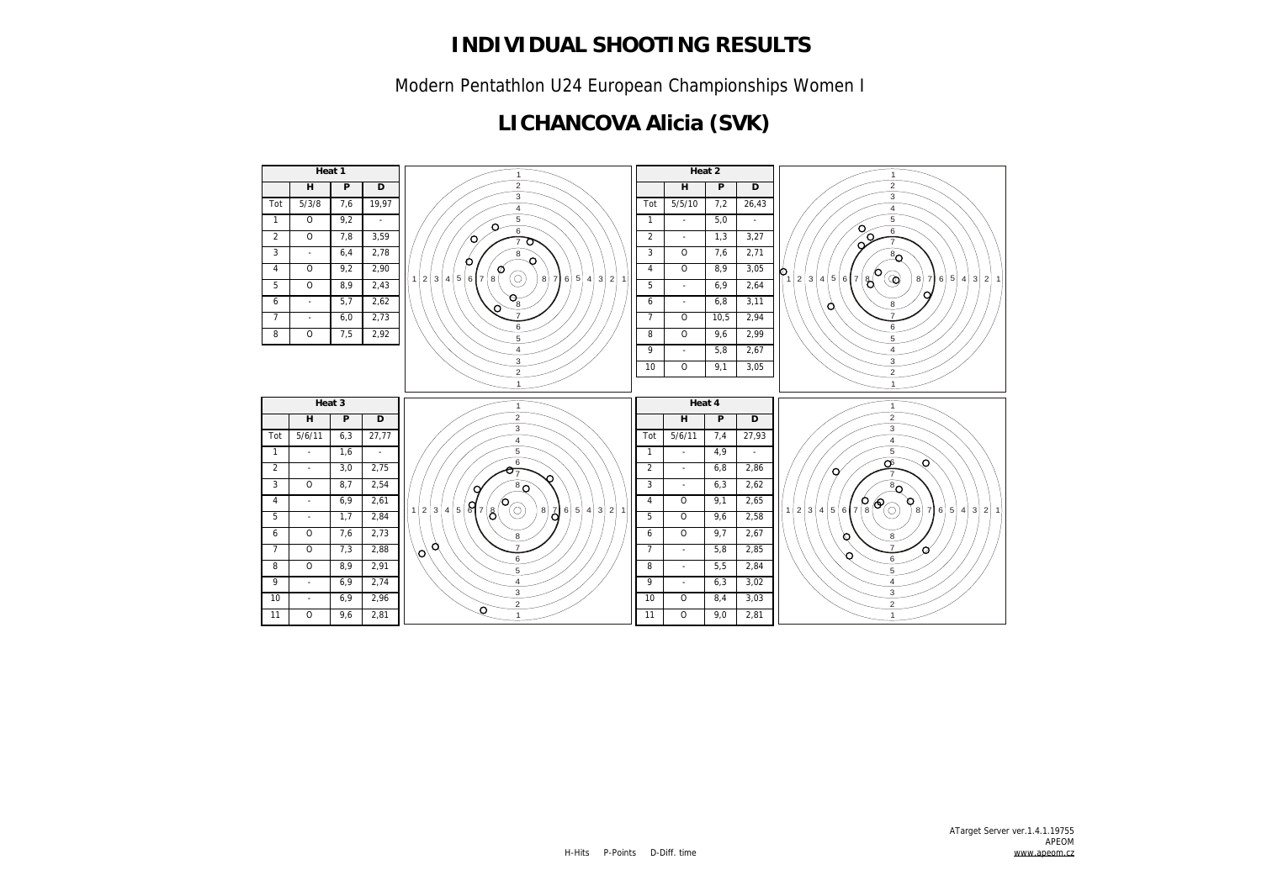Modern Pentathlon U24 European Championships Women I

### **LICHANCOVA Alicia (SVK)**

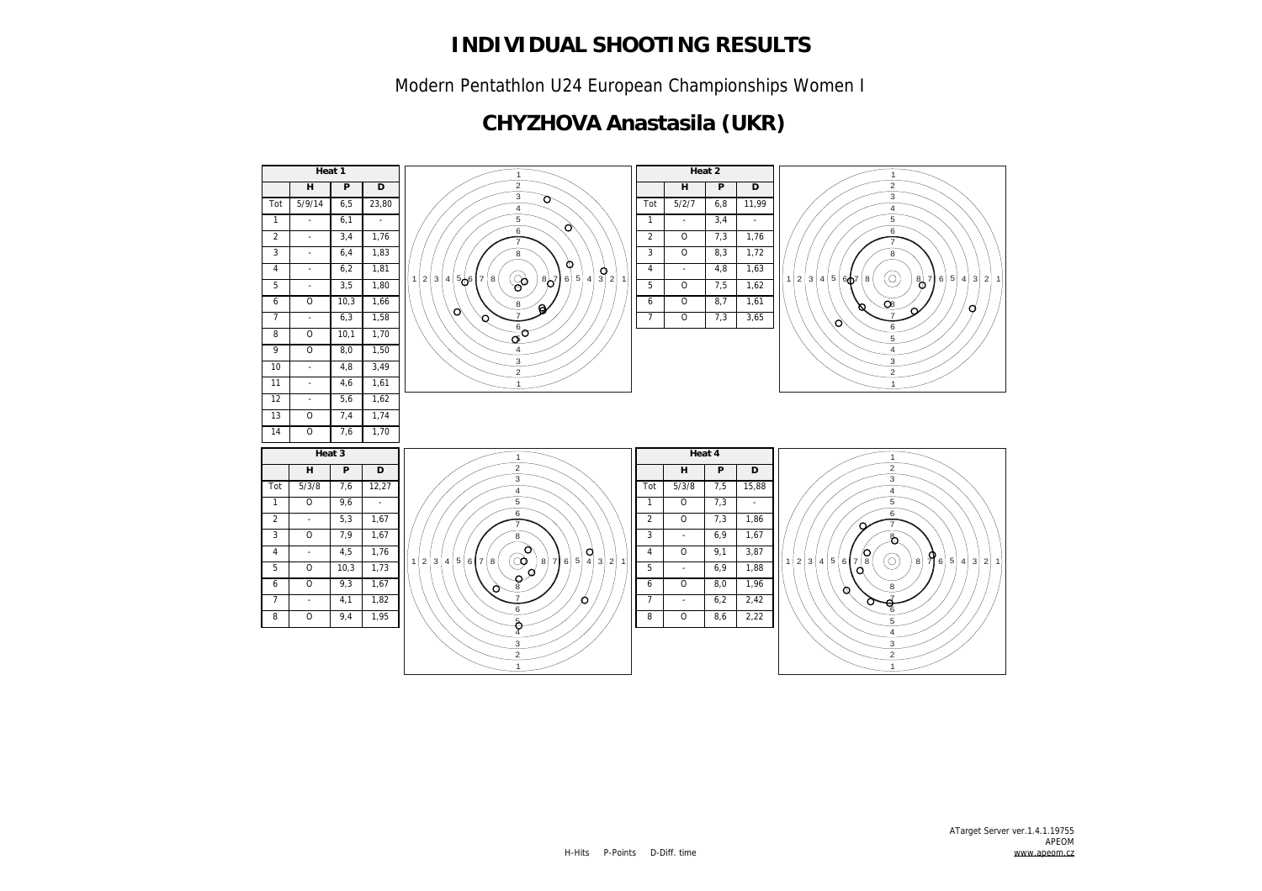Modern Pentathlon U24 European Championships Women I

### **CHYZHOVA Anastasila (UKR)**

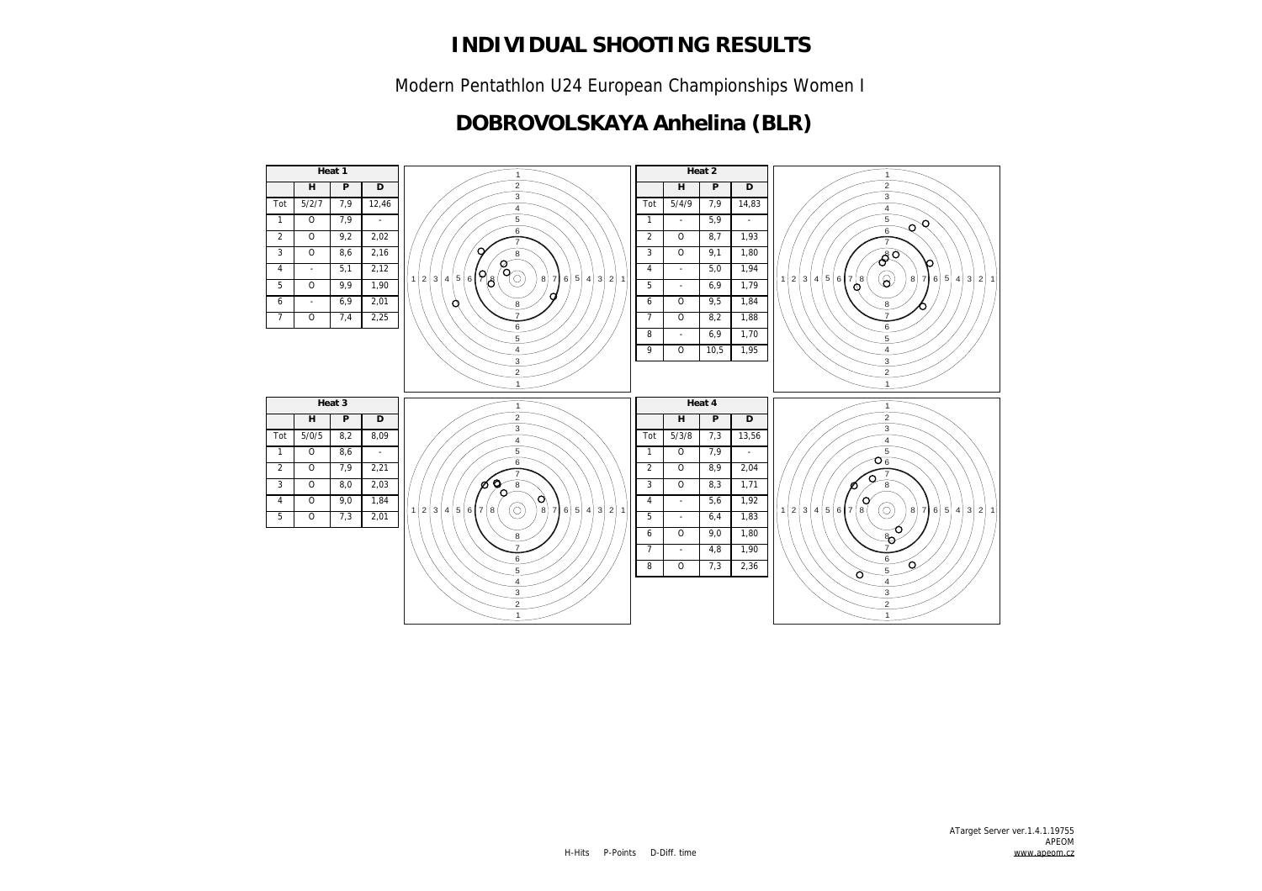Modern Pentathlon U24 European Championships Women I

### **DOBROVOLSKAYA Anhelina (BLR)**

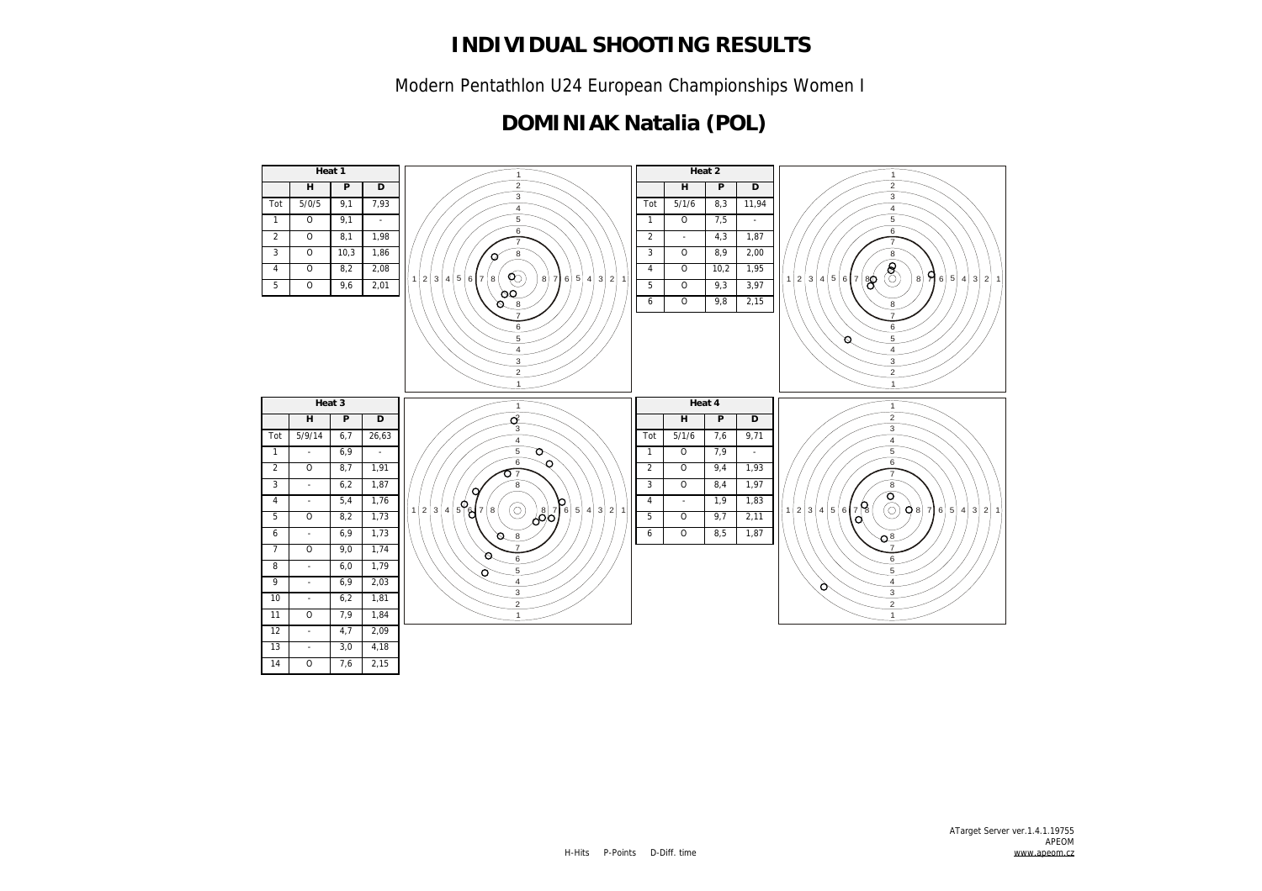Modern Pentathlon U24 European Championships Women I

### **DOMINIAK Natalia (POL)**

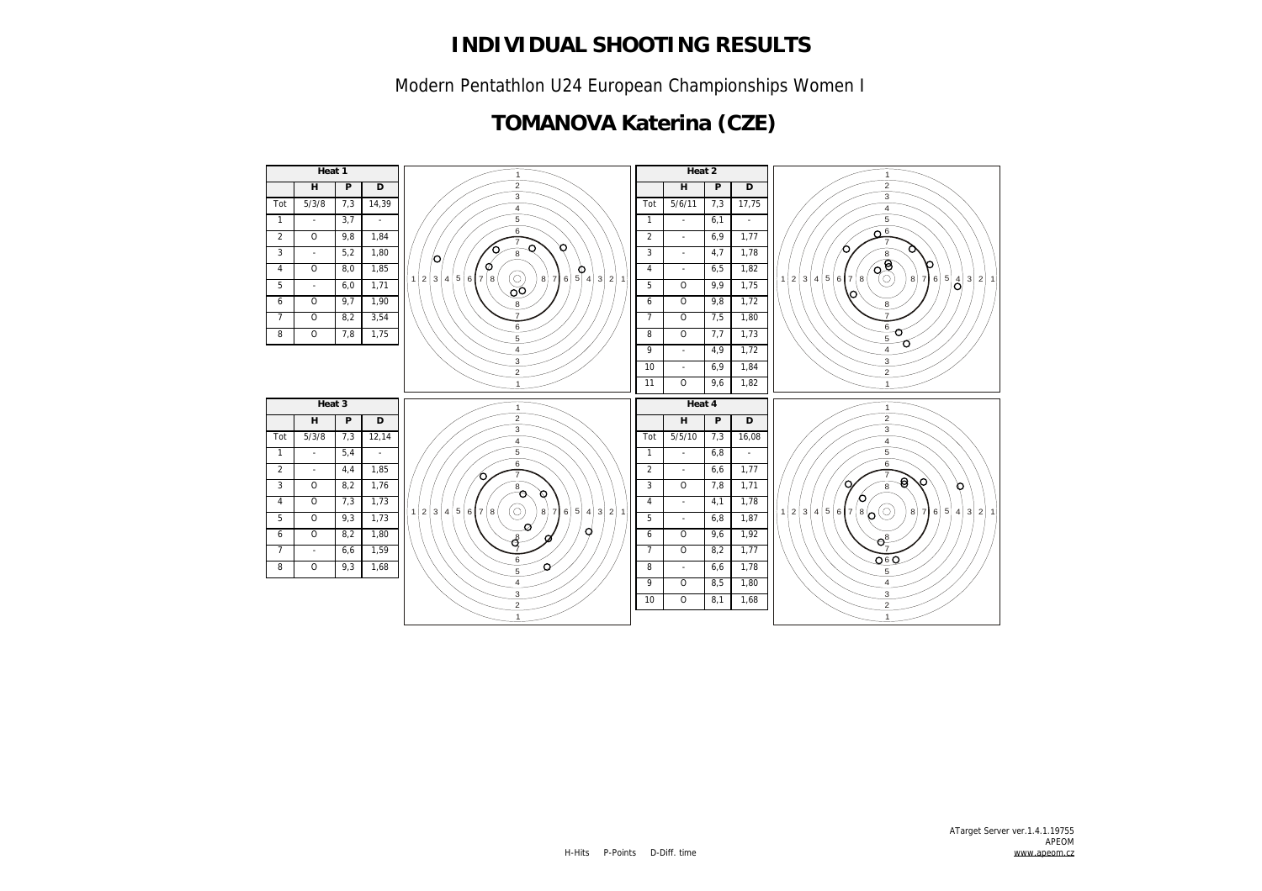Modern Pentathlon U24 European Championships Women I

### **TOMANOVA Katerina (CZE)**

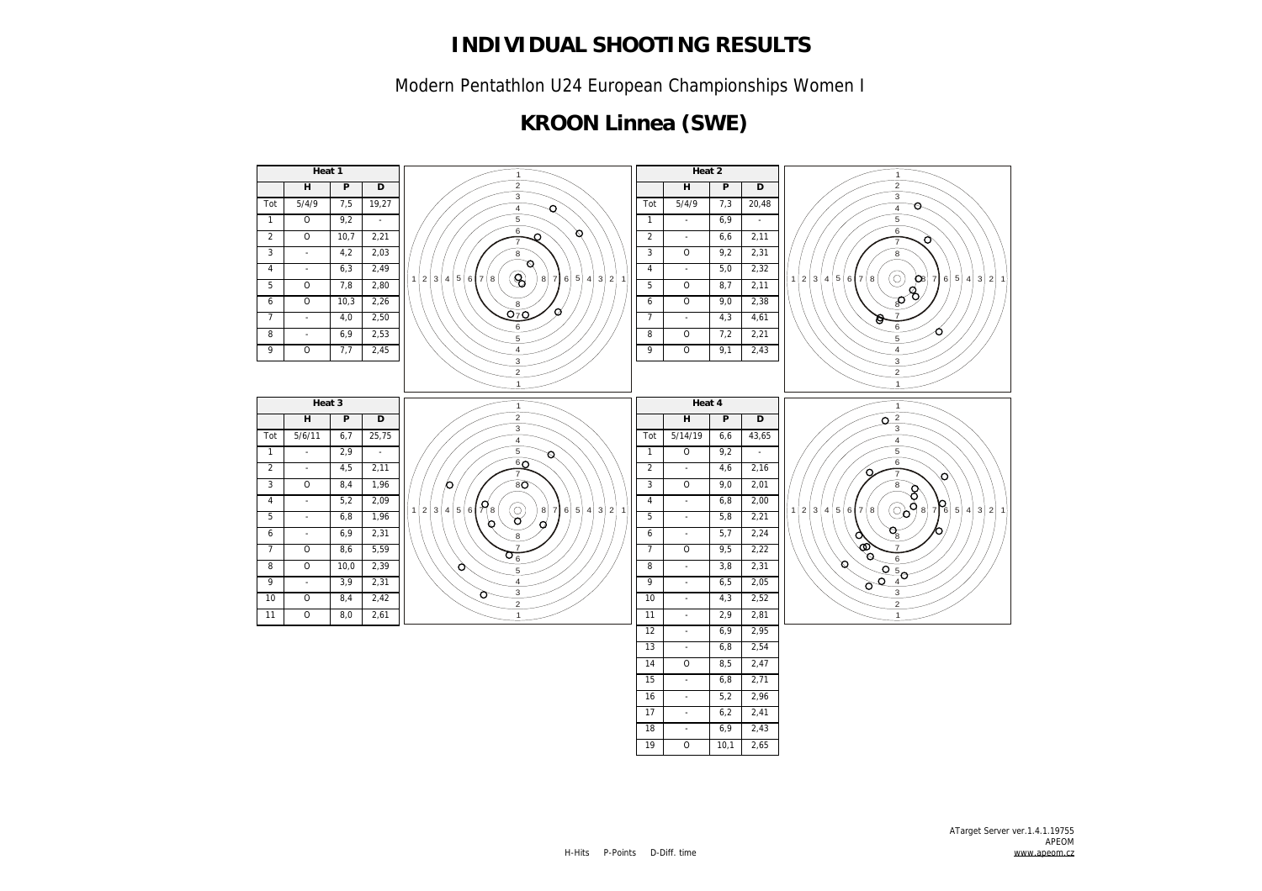Modern Pentathlon U24 European Championships Women I

# **KROON Linnea (SWE)**

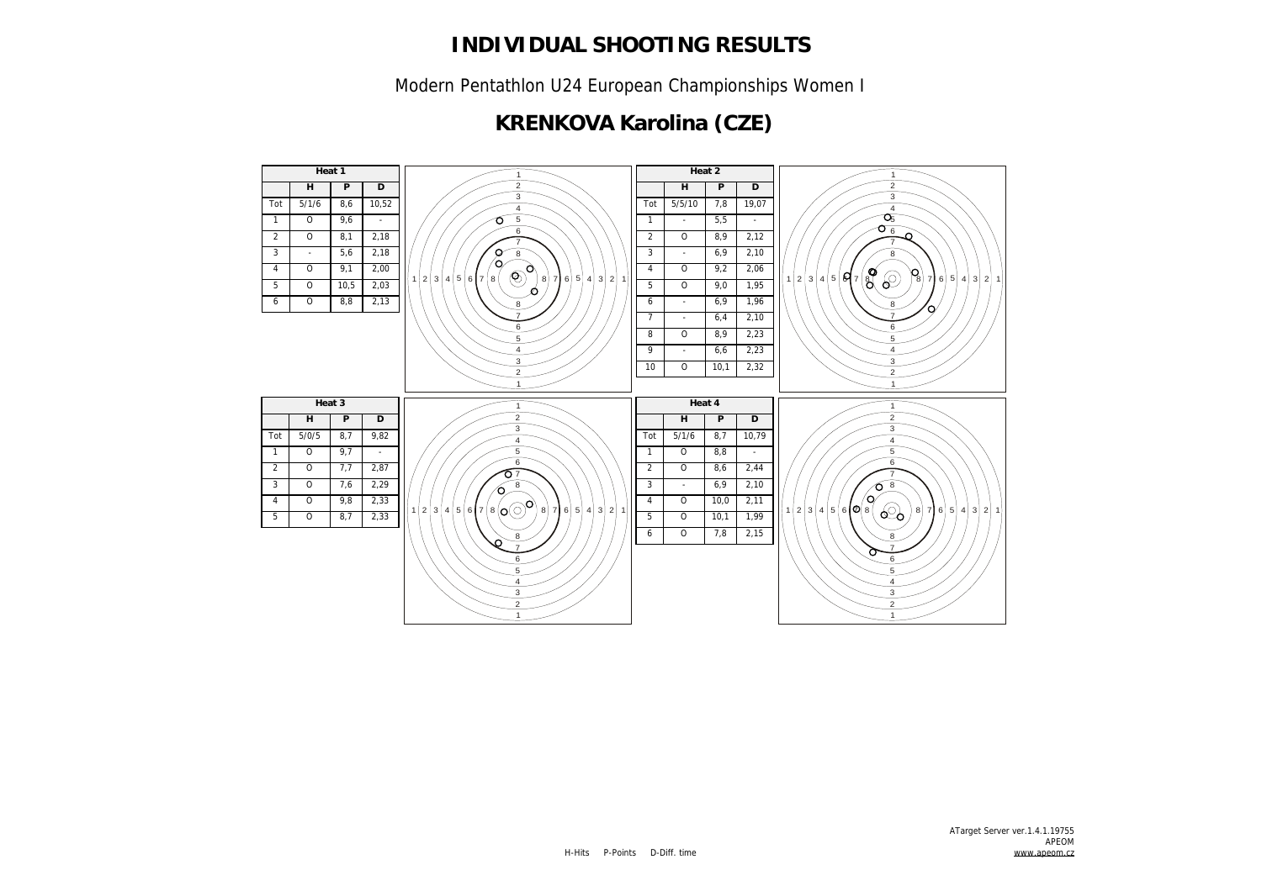Modern Pentathlon U24 European Championships Women I

### **KRENKOVA Karolina (CZE)**

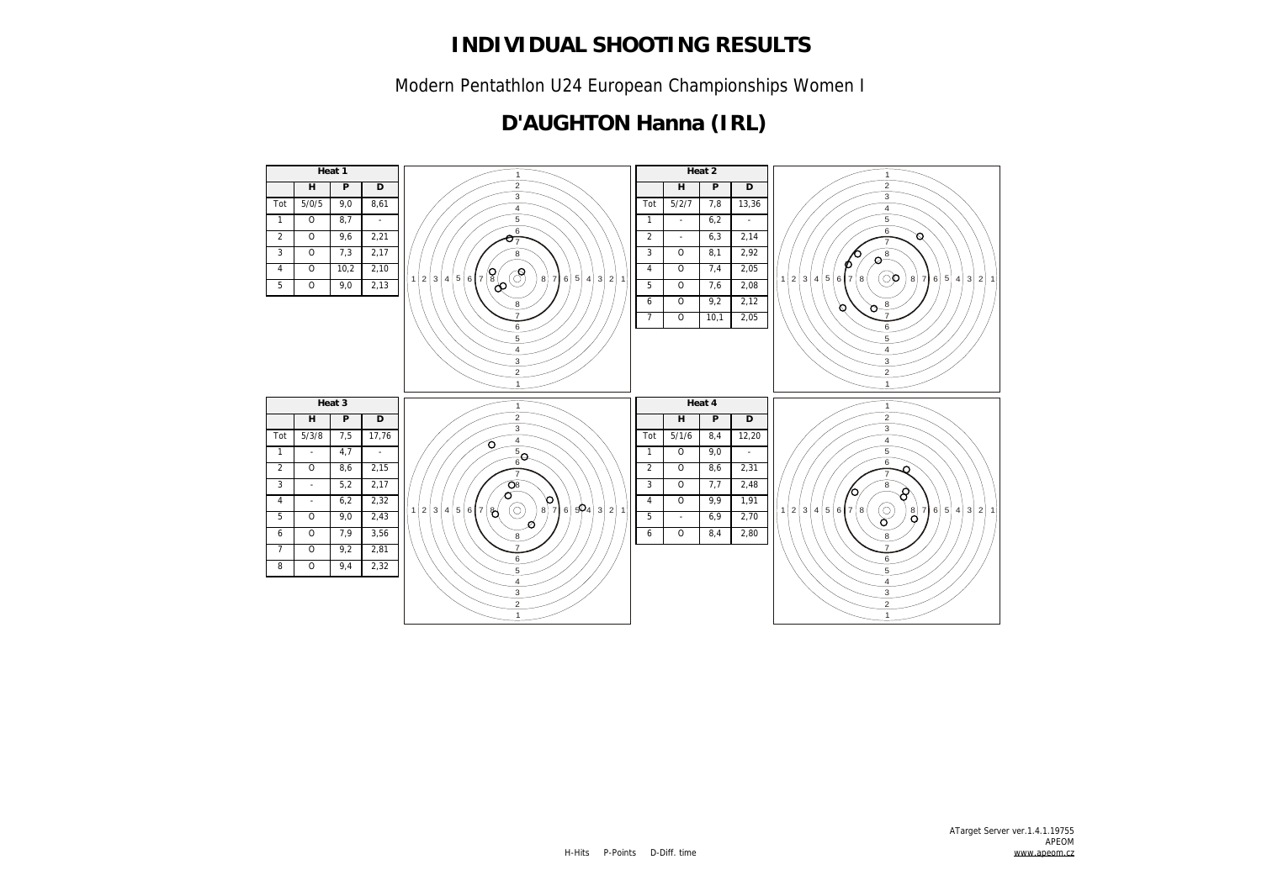Modern Pentathlon U24 European Championships Women I

### **D'AUGHTON Hanna (IRL)**

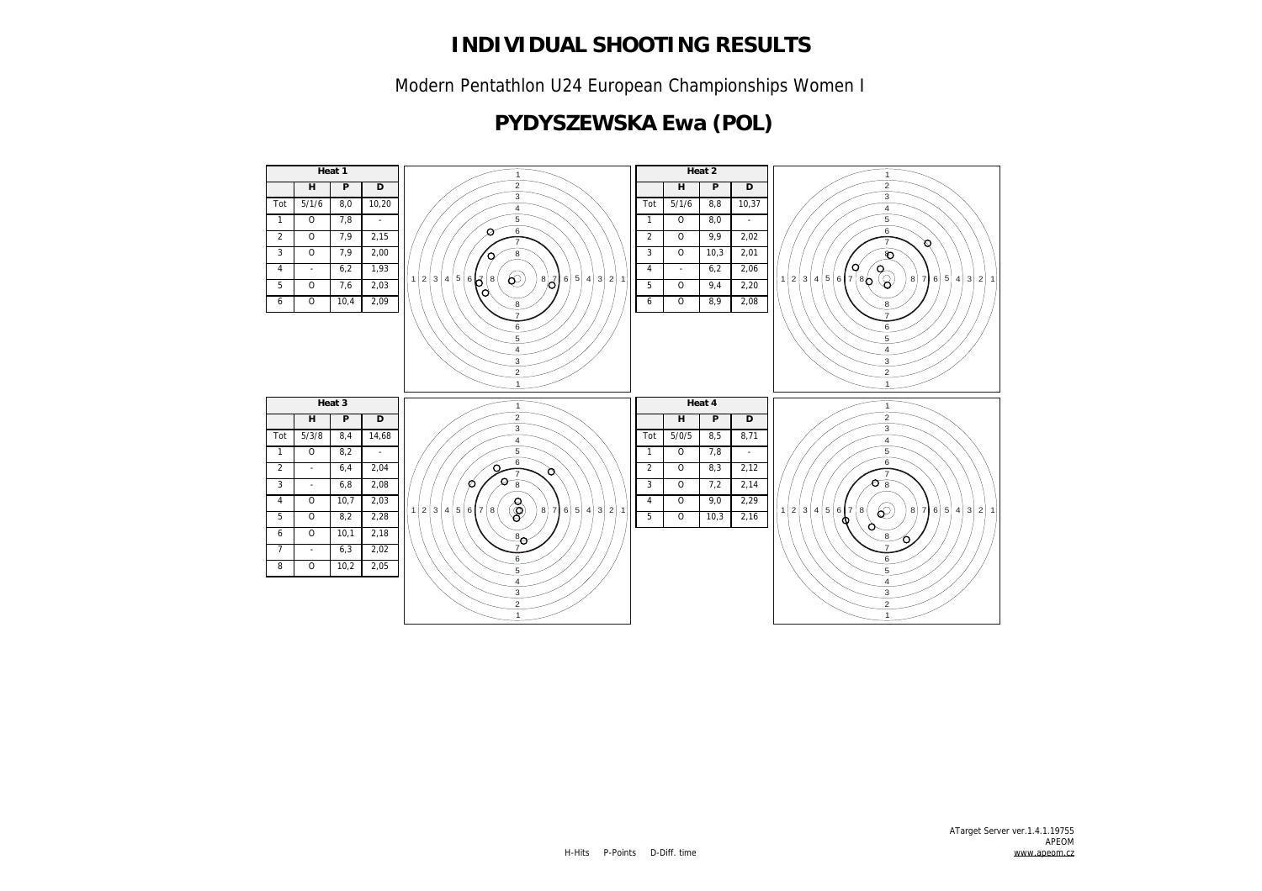Modern Pentathlon U24 European Championships Women I

# **PYDYSZEWSKA Ewa (POL)**

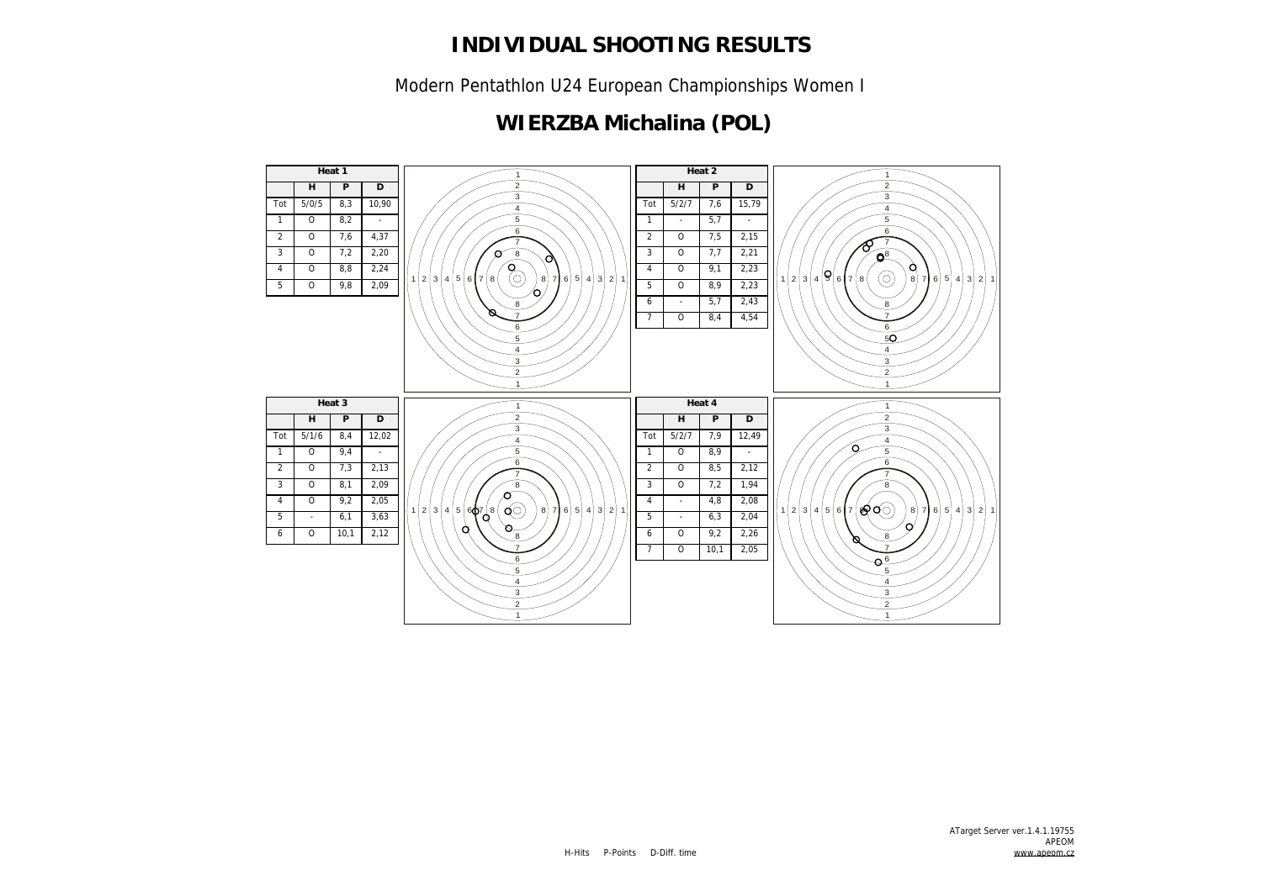Modern Pentathlon U24 European Championships Women I

### **WIERZBA Michalina (POL)**

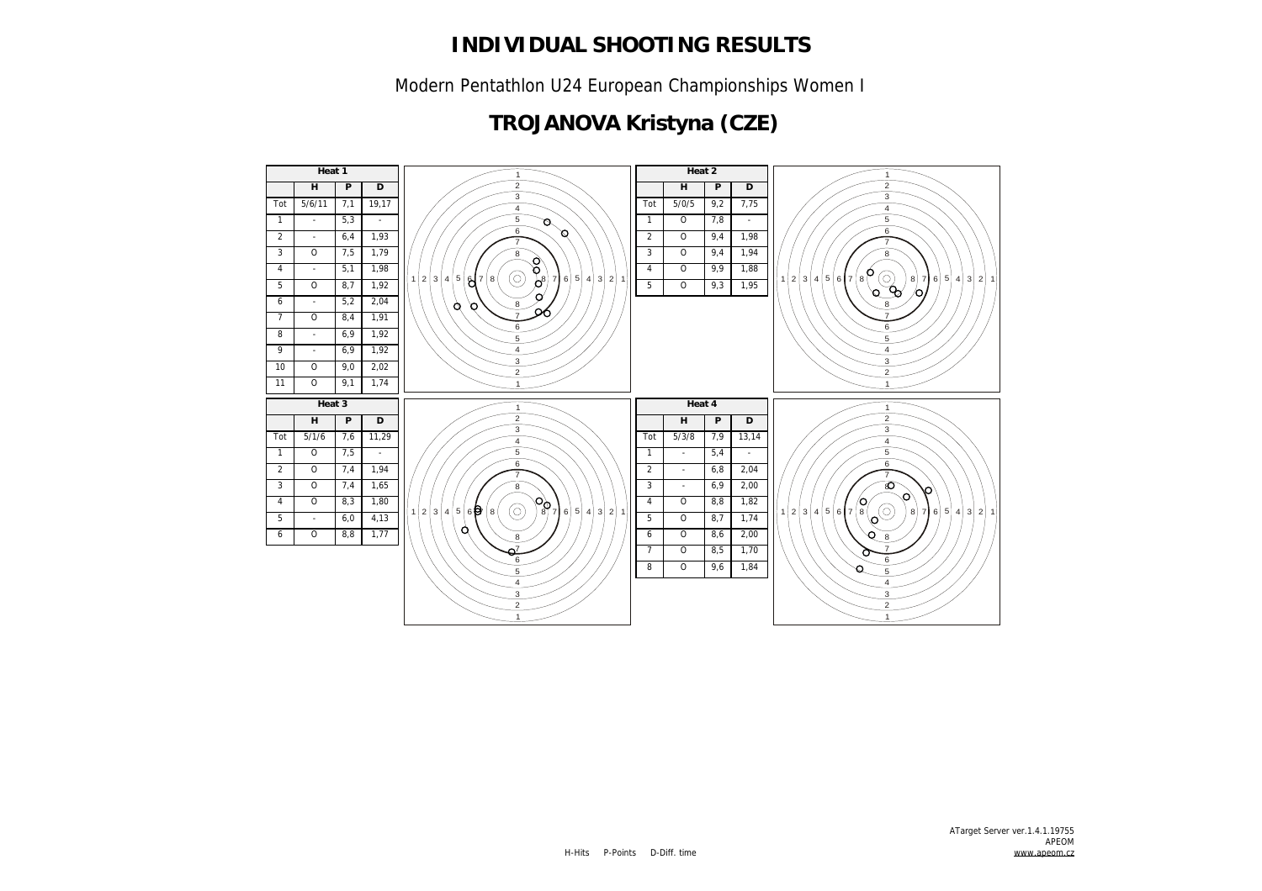Modern Pentathlon U24 European Championships Women I

# **TROJANOVA Kristyna (CZE)**

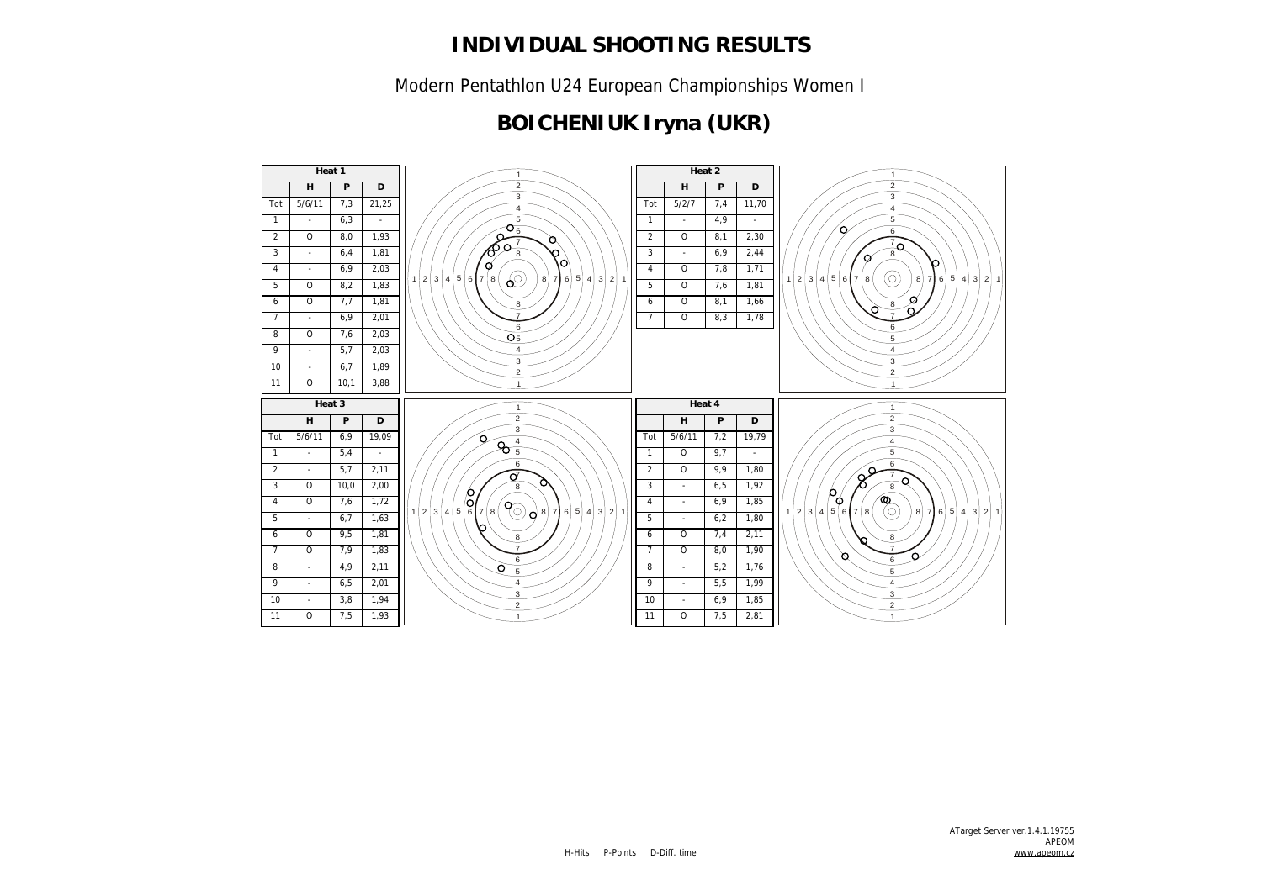Modern Pentathlon U24 European Championships Women I

# **BOICHENIUK Iryna (UKR)**

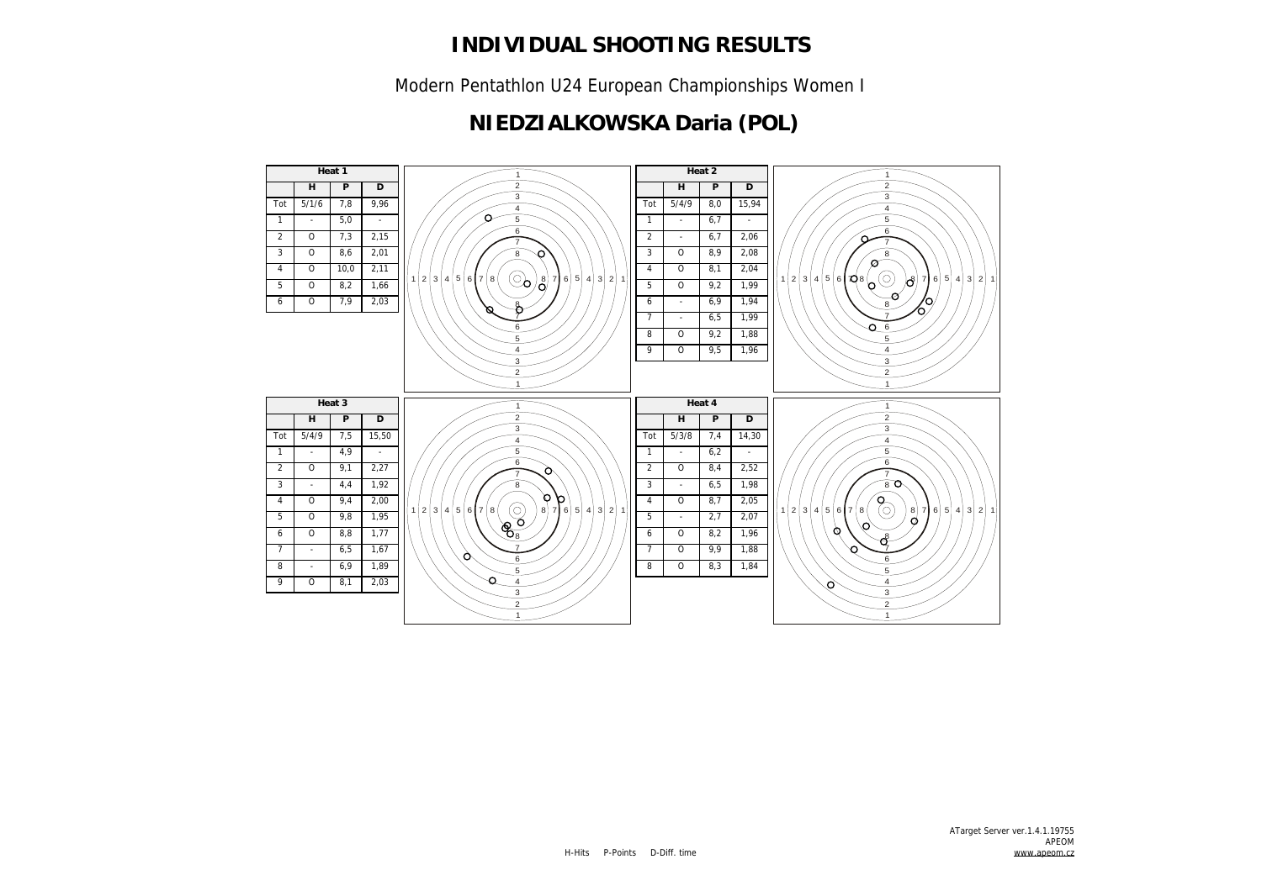Modern Pentathlon U24 European Championships Women I

### **NIEDZIALKOWSKA Daria (POL)**

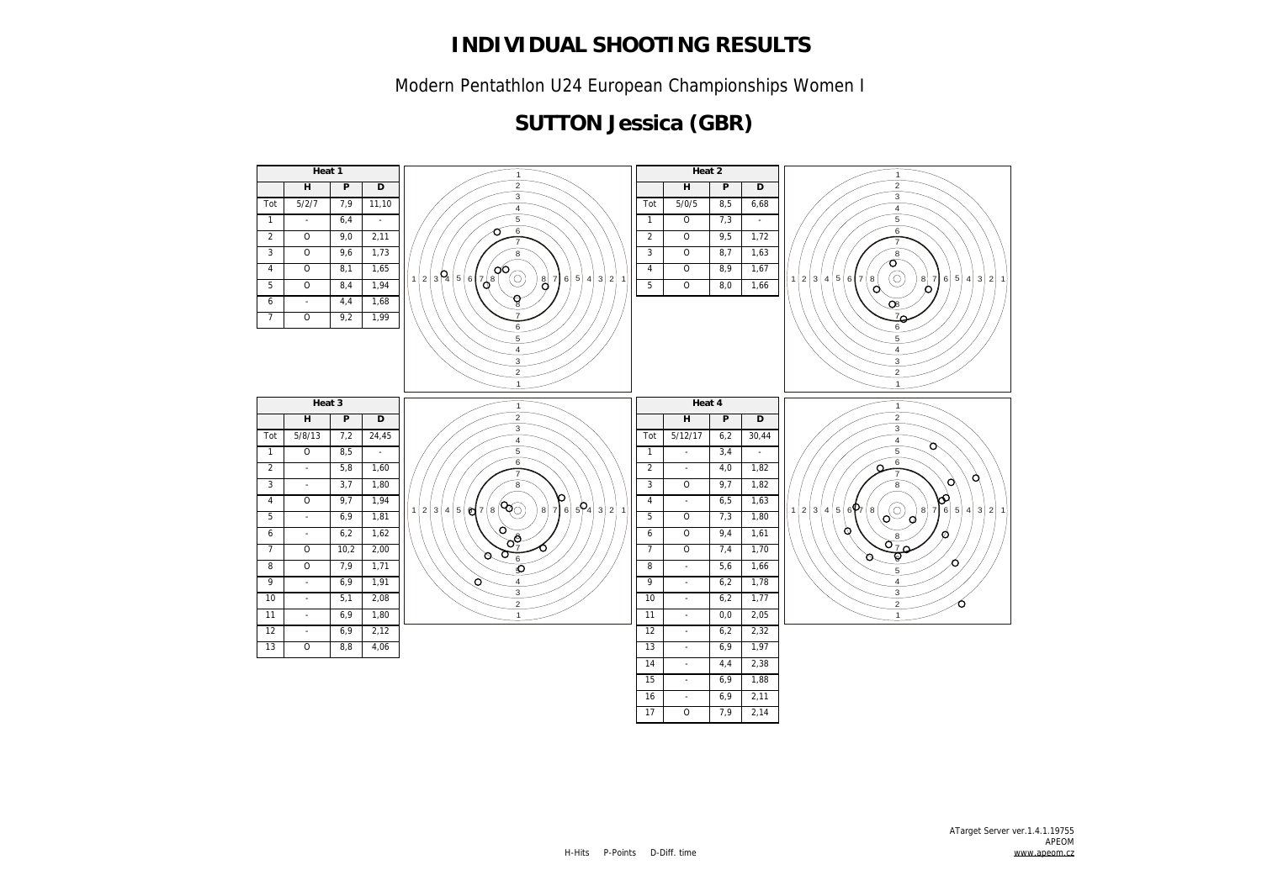Modern Pentathlon U24 European Championships Women I

### **SUTTON Jessica (GBR)**